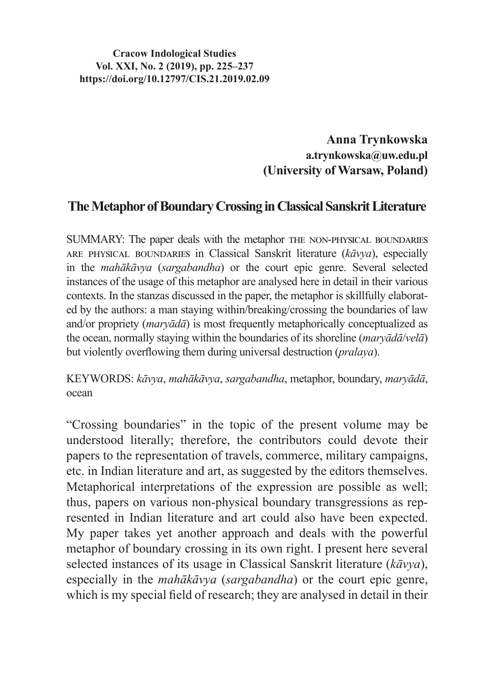**Cracow Indological Studies Vol. XXI, No. 2 (2019), pp. 225–237 https://doi.org/10.12797/CIS.21.2019.02.09**

> **Anna Trynkowska a.trynkowska@uw.edu.pl (University of Warsaw, Poland)**

## **The Metaphor of Boundary Crossing in Classical Sanskrit Literature**

SUMMARY: The paper deals with the metaphor THE NON-PHYSICAL BOUNDARIES are physical boundaries in Classical Sanskrit literature (*kāvya*), especially in the *mahākāvya* (*sargabandha*) or the court epic genre. Several selected instances of the usage of this metaphor are analysed here in detail in their various contexts. In the stanzas discussed in the paper, the metaphor is skillfully elaborated by the authors: a man staying within/breaking/crossing the boundaries of law and/or propriety (*maryādā*) is most frequently metaphorically conceptualized as the ocean, normally staying within the boundaries of its shoreline (*maryādā*/*velā*) but violently overflowing them during universal destruction (*pralaya*).

KEYWORDS: *kāvya*, *mahākāvya*, *sargabandha*, metaphor, boundary, *maryādā*, ocean

"Crossing boundaries" in the topic of the present volume may be understood literally; therefore, the contributors could devote their papers to the representation of travels, commerce, military campaigns, etc. in Indian literature and art, as suggested by the editors themselves. Metaphorical interpretations of the expression are possible as well; thus, papers on various non-physical boundary transgressions as represented in Indian literature and art could also have been expected. My paper takes yet another approach and deals with the powerful metaphor of boundary crossing in its own right. I present here several selected instances of its usage in Classical Sanskrit literature (*kāvya*), especially in the *mahākāvya* (*sargabandha*) or the court epic genre, which is my special field of research; they are analysed in detail in their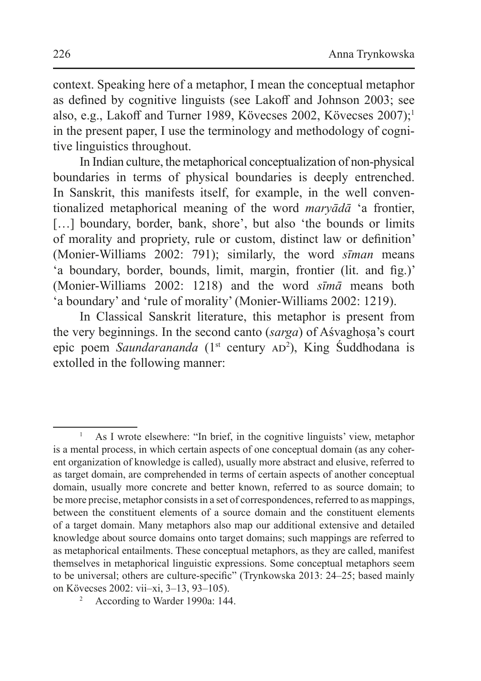context. Speaking here of a metaphor, I mean the conceptual metaphor as defined by cognitive linguists (see Lakoff and Johnson 2003; see also, e.g., Lakoff and Turner 1989, Kövecses 2002, Kövecses 2007);<sup>1</sup> in the present paper, I use the terminology and methodology of cognitive linguistics throughout.

In Indian culture, the metaphorical conceptualization of non-physical boundaries in terms of physical boundaries is deeply entrenched. In Sanskrit, this manifests itself, for example, in the well conventionalized metaphorical meaning of the word *maryādā* 'a frontier, [...] boundary, border, bank, shore', but also 'the bounds or limits of morality and propriety, rule or custom, distinct law or definition' (Monier-Williams 2002: 791); similarly, the word *sīman* means 'a boundary, border, bounds, limit, margin, frontier (lit. and fig.)' (Monier-Williams 2002: 1218) and the word *sīmā* means both 'a boundary' and 'rule of morality' (Monier-Williams 2002: 1219).

In Classical Sanskrit literature, this metaphor is present from the very beginnings. In the second canto *(sarga)* of Aśvaghosa's court epic poem Saundarananda (1<sup>st</sup> century AD<sup>2</sup>), King Suddhodana is extolled in the following manner:

<sup>1</sup> As I wrote elsewhere: "In brief, in the cognitive linguists' view, metaphor is a mental process, in which certain aspects of one conceptual domain (as any coherent organization of knowledge is called), usually more abstract and elusive, referred to as target domain, are comprehended in terms of certain aspects of another conceptual domain, usually more concrete and better known, referred to as source domain; to be more precise, metaphor consists in a set of correspondences, referred to as mappings, between the constituent elements of a source domain and the constituent elements of a target domain. Many metaphors also map our additional extensive and detailed knowledge about source domains onto target domains; such mappings are referred to as metaphorical entailments. These conceptual metaphors, as they are called, manifest themselves in metaphorical linguistic expressions. Some conceptual metaphors seem to be universal; others are culture-specific" (Trynkowska 2013: 24–25; based mainly on Kövecses 2002: vii–xi, 3–13, 93–105).

<sup>2</sup> According to Warder 1990a: 144.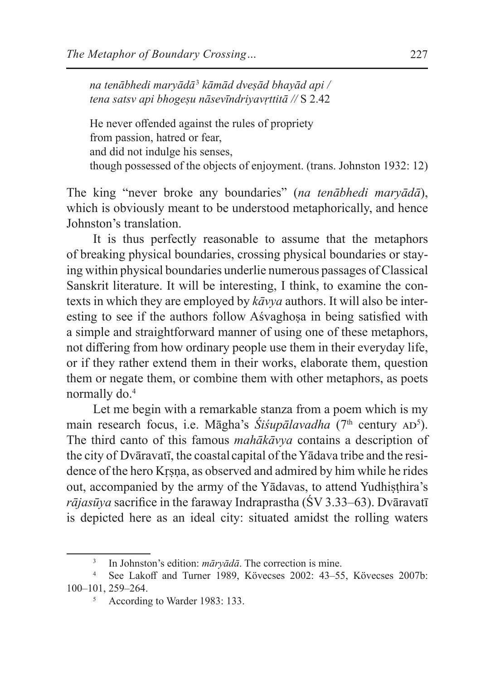*na tenābhedi maryādā*<sup>3</sup>  *kāmād dveṣād bhayād api / tena satsv api bhogeṣu nāsevīndriyavṛttitā //* S 2.42

He never offended against the rules of propriety from passion, hatred or fear, and did not indulge his senses, though possessed of the objects of enjoyment. (trans. Johnston 1932: 12)

The king "never broke any boundaries" (*na tenābhedi maryādā*), which is obviously meant to be understood metaphorically, and hence Johnston's translation.

It is thus perfectly reasonable to assume that the metaphors of breaking physical boundaries, crossing physical boundaries or staying within physical boundaries underlie numerous passages of Classical Sanskrit literature. It will be interesting, I think, to examine the contexts in which they are employed by *kāvya* authors. It will also be interesting to see if the authors follow Asvaghosa in being satisfied with a simple and straightforward manner of using one of these metaphors, not differing from how ordinary people use them in their everyday life, or if they rather extend them in their works, elaborate them, question them or negate them, or combine them with other metaphors, as poets normally do.4

Let me begin with a remarkable stanza from a poem which is my main research focus, i.e. Māgha's *Siśupālavadha* (7<sup>th</sup> century AD<sup>5</sup>). The third canto of this famous *mahākāvya* contains a description of the city of Dvāravatī, the coastal capital of the Yādava tribe and the residence of the hero Kṛṣṇa, as observed and admired by him while he rides out, accompanied by the army of the Yādavas, to attend Yudhisthira's *rājasūya* sacrifice in the faraway Indraprastha (ŚV 3.33–63). Dvāravatī is depicted here as an ideal city: situated amidst the rolling waters

<sup>3</sup> In Johnston's edition: *māryādā*. The correction is mine.

<sup>4</sup> See Lakoff and Turner 1989, Kövecses 2002: 43–55, Kövecses 2007b: 100–101, 259–264.

<sup>5</sup> According to Warder 1983: 133.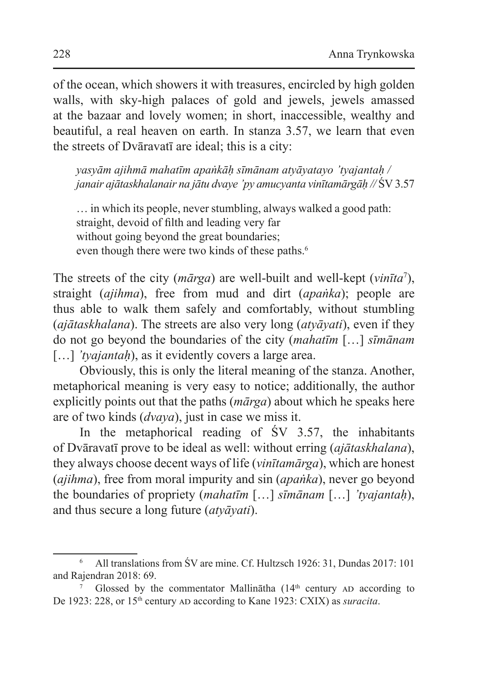of the ocean, which showers it with treasures, encircled by high golden walls, with sky-high palaces of gold and jewels, jewels amassed at the bazaar and lovely women; in short, inaccessible, wealthy and beautiful, a real heaven on earth. In stanza 3.57, we learn that even the streets of Dvāravatī are ideal; this is a city:

*yasyām ajihmā mahatīm apaṅkāḥ sīmānam atyāyatayo 'tyajantaḥ / janair ajātaskhalanair na jātu dvaye 'py amucyanta vinītamārgāḥ //* ŚV 3.57

… in which its people, never stumbling, always walked a good path: straight, devoid of filth and leading very far without going beyond the great boundaries; even though there were two kinds of these paths.<sup>6</sup>

The streets of the city (*mārga*) are well-built and well-kept (*vinīta*<sup>7</sup> ), straight (*ajihma*), free from mud and dirt (*apaṅka*); people are thus able to walk them safely and comfortably, without stumbling (*ajātaskhalana*). The streets are also very long (*atyāyati*), even if they do not go beyond the boundaries of the city (*mahatīm* […] *sīmānam*  [...] *'tyajantah*), as it evidently covers a large area.

Obviously, this is only the literal meaning of the stanza. Another, metaphorical meaning is very easy to notice; additionally, the author explicitly points out that the paths (*mārga*) about which he speaks here are of two kinds (*dvaya*), just in case we miss it.

In the metaphorical reading of  $\text{SV}$  3.57, the inhabitants of Dvāravatī prove to be ideal as well: without erring (*ajātaskhalana*), they always choose decent ways of life (*vinītamārga*), which are honest (*ajihma*), free from moral impurity and sin (*apaṅka*), never go beyond the boundaries of propriety (*mahatīm* […] *sīmānam* […] *'tyajantaḥ*), and thus secure a long future (*atyāyati*).

<sup>6</sup> All translations from ŚV are mine. Cf. Hultzsch 1926: 31, Dundas 2017: 101 and Rajendran 2018: 69.

Glossed by the commentator Mallinātha ( $14<sup>th</sup>$  century AD according to De 1923: 228, or 15<sup>th</sup> century AD according to Kane 1923: CXIX) as *suracita*.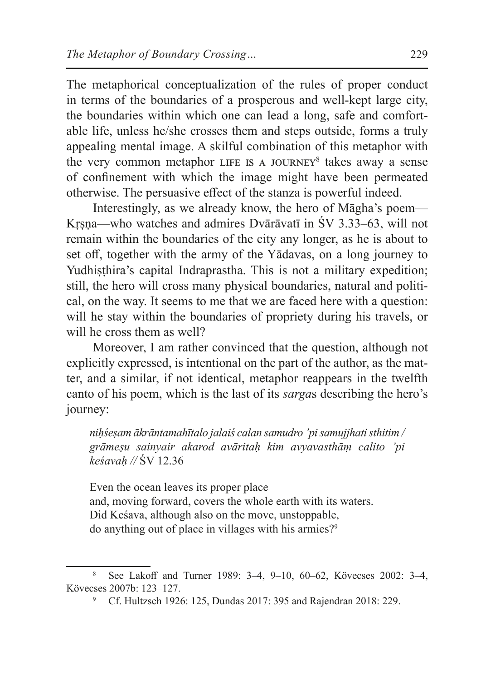The metaphorical conceptualization of the rules of proper conduct in terms of the boundaries of a prosperous and well-kept large city, the boundaries within which one can lead a long, safe and comfortable life, unless he/she crosses them and steps outside, forms a truly appealing mental image. A skilful combination of this metaphor with the very common metaphor LIFE IS A JOURNEY<sup>8</sup> takes away a sense of confinement with which the image might have been permeated otherwise. The persuasive effect of the stanza is powerful indeed.

Interestingly, as we already know, the hero of Māgha's poem— Krsna—who watches and admires Dvārāvatī in ŚV 3.33–63, will not remain within the boundaries of the city any longer, as he is about to set off, together with the army of the Yādavas, on a long journey to Yudhisthira's capital Indraprastha. This is not a military expedition; still, the hero will cross many physical boundaries, natural and political, on the way. It seems to me that we are faced here with a question: will he stay within the boundaries of propriety during his travels, or will he cross them as well?

Moreover, I am rather convinced that the question, although not explicitly expressed, is intentional on the part of the author, as the matter, and a similar, if not identical, metaphor reappears in the twelfth canto of his poem, which is the last of its *sarga*s describing the hero's journey:

*niḥśeṣam ākrāntamahītalo jalaiś calan samudro 'pi samujjhati sthitim / grāmeṣu sainyair akarod avāritaḥ kim avyavasthāṃ calito 'pi keśavaḥ //* ŚV 12.36

Even the ocean leaves its proper place and, moving forward, covers the whole earth with its waters. Did Keśava, although also on the move, unstoppable, do anything out of place in villages with his armies?<sup>9</sup>

<sup>8</sup> See Lakoff and Turner 1989: 3–4, 9–10, 60–62, Kövecses 2002: 3–4, Kövecses 2007b: 123–127.

<sup>9</sup> Cf. Hultzsch 1926: 125, Dundas 2017: 395 and Rajendran 2018: 229.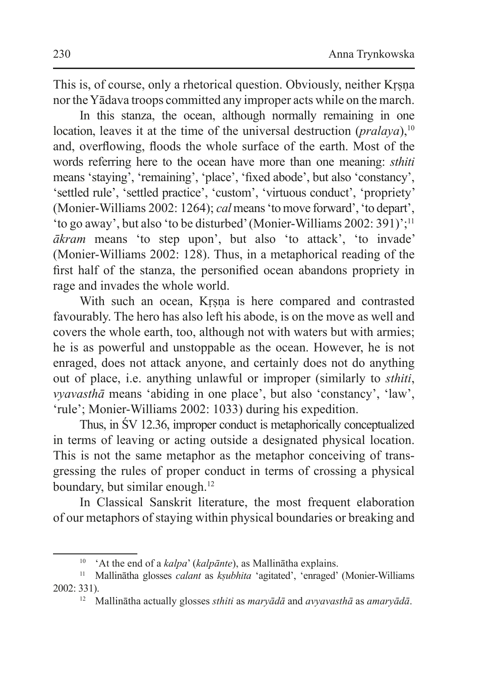This is, of course, only a rhetorical question. Obviously, neither Krsna nor theYādava troops committed any improper acts while on the march.

In this stanza, the ocean, although normally remaining in one location, leaves it at the time of the universal destruction (*pralaya*),<sup>10</sup> and, overflowing, floods the whole surface of the earth. Most of the words referring here to the ocean have more than one meaning: *sthiti*  means 'staying', 'remaining', 'place', 'fixed abode', but also 'constancy', 'settled rule', 'settled practice', 'custom', 'virtuous conduct', 'propriety' (Monier-Williams 2002: 1264); *cal* means 'to move forward', 'to depart', 'to go away', but also 'to be disturbed' (Monier-Williams 2002: 391)';<sup>11</sup> *ākram* means 'to step upon', but also 'to attack', 'to invade' (Monier-Williams 2002: 128). Thus, in a metaphorical reading of the first half of the stanza, the personified ocean abandons propriety in rage and invades the whole world.

With such an ocean, Krsna is here compared and contrasted favourably. The hero has also left his abode, is on the move as well and covers the whole earth, too, although not with waters but with armies; he is as powerful and unstoppable as the ocean. However, he is not enraged, does not attack anyone, and certainly does not do anything out of place, i.e. anything unlawful or improper (similarly to *sthiti*, *vyavasthā* means 'abiding in one place', but also 'constancy', 'law', 'rule'; Monier-Williams 2002: 1033) during his expedition.

Thus, in ŚV 12.36, improper conduct is metaphorically conceptualized in terms of leaving or acting outside a designated physical location. This is not the same metaphor as the metaphor conceiving of transgressing the rules of proper conduct in terms of crossing a physical boundary, but similar enough.<sup>12</sup>

In Classical Sanskrit literature, the most frequent elaboration of our metaphors of staying within physical boundaries or breaking and

<sup>10</sup> 'At the end of a *kalpa*' (*kalpānte*), as Mallinātha explains.

<sup>11</sup> Mallinātha glosses *calant* as *kṣubhita* 'agitated', 'enraged' (Monier-Williams 2002: 331).

<sup>12</sup> Mallinātha actually glosses *sthiti* as *maryādā* and *avyavasthā* as *amaryādā*.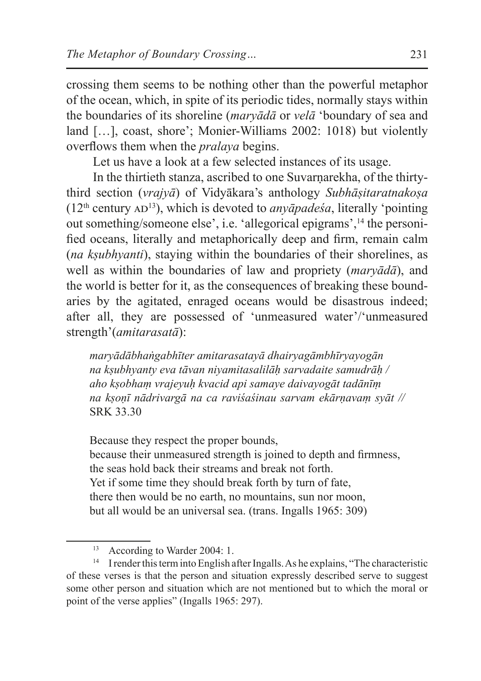crossing them seems to be nothing other than the powerful metaphor of the ocean, which, in spite of its periodic tides, normally stays within the boundaries of its shoreline (*maryādā* or *velā* 'boundary of sea and land […], coast, shore'; Monier-Williams 2002: 1018) but violently overflows them when the *pralaya* begins.

Let us have a look at a few selected instances of its usage.

In the thirtieth stanza, ascribed to one Suvarnarekha, of the thirtythird section (*vrajyā*) of Vidyākara's anthology *Subhāṣitaratnakoṣa*   $(12<sup>th</sup> century AD<sup>13</sup>)$ , which is devoted to *anyapadesa*, literally 'pointing out something/someone else', i.e. 'allegorical epigrams',14 the personified oceans, literally and metaphorically deep and firm, remain calm (*na kṣubhyanti*), staying within the boundaries of their shorelines, as well as within the boundaries of law and propriety (*maryādā*), and the world is better for it, as the consequences of breaking these boundaries by the agitated, enraged oceans would be disastrous indeed; after all, they are possessed of 'unmeasured water'/'unmeasured strength'(*amitarasatā*):

*maryādābhaṅgabhīter amitarasatayā dhairyagāmbhīryayogān na kṣubhyanty eva tāvan niyamitasalilāḥ sarvadaite samudrāḥ / aho kṣobhaṃ vrajeyuḥ kvacid api samaye daivayogāt tadānīṃ na kṣoṇī nādrivargā na ca raviśaśinau sarvam ekārṇavaṃ syāt //*  SRK 33.30

Because they respect the proper bounds,

because their unmeasured strength is joined to depth and firmness, the seas hold back their streams and break not forth. Yet if some time they should break forth by turn of fate, there then would be no earth, no mountains, sun nor moon, but all would be an universal sea. (trans. Ingalls 1965: 309)

<sup>&</sup>lt;sup>13</sup> According to Warder 2004: 1.

<sup>&</sup>lt;sup>14</sup> I render this term into English after Ingalls. As he explains, "The characteristic of these verses is that the person and situation expressly described serve to suggest some other person and situation which are not mentioned but to which the moral or point of the verse applies" (Ingalls 1965: 297).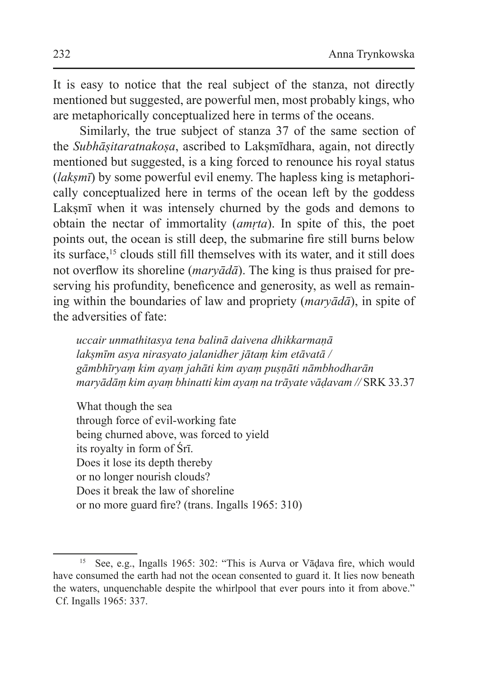It is easy to notice that the real subject of the stanza, not directly mentioned but suggested, are powerful men, most probably kings, who are metaphorically conceptualized here in terms of the oceans.

Similarly, the true subject of stanza 37 of the same section of the *Subhāsitaratnakosa*, ascribed to Laksmīdhara, again, not directly mentioned but suggested, is a king forced to renounce his royal status (*laksmī*) by some powerful evil enemy. The hapless king is metaphorically conceptualized here in terms of the ocean left by the goddess Lakṣmī when it was intensely churned by the gods and demons to obtain the nectar of immortality (*amṛta*). In spite of this, the poet points out, the ocean is still deep, the submarine fire still burns below its surface,<sup>15</sup> clouds still fill themselves with its water, and it still does not overflow its shoreline (*maryādā*). The king is thus praised for preserving his profundity, beneficence and generosity, as well as remaining within the boundaries of law and propriety (*maryādā*), in spite of the adversities of fate:

*uccair unmathitasya tena balinā daivena dhikkarmaṇā lakṣmīm asya nirasyato jalanidher jātaṃ kim etāvatā / gāmbhīryaṃ kim ayaṃ jahāti kim ayaṃ puṣṇāti nāmbhodharān maryādāṃ kim ayaṃ bhinatti kim ayaṃ na trāyate vāḍavam //* SRK 33.37

What though the sea through force of evil-working fate being churned above, was forced to yield its royalty in form of Śrī. Does it lose its depth thereby or no longer nourish clouds? Does it break the law of shoreline or no more guard fire? (trans. Ingalls 1965: 310)

<sup>&</sup>lt;sup>15</sup> See, e.g., Ingalls 1965: 302: "This is Aurva or Vādava fire, which would have consumed the earth had not the ocean consented to guard it. It lies now beneath the waters, unquenchable despite the whirlpool that ever pours into it from above." Cf. Ingalls 1965: 337.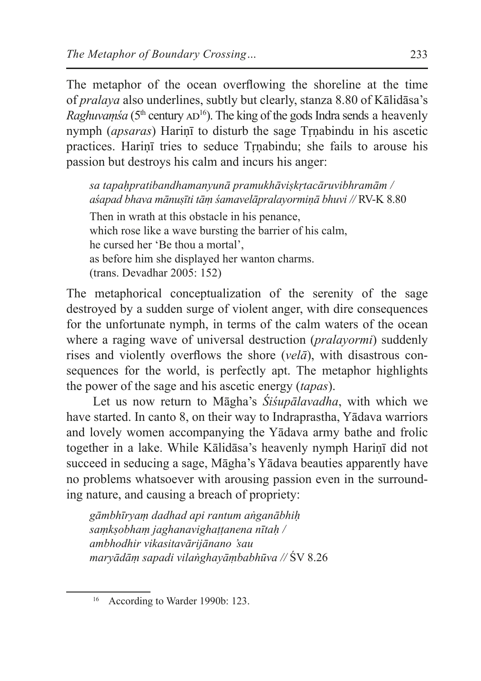The metaphor of the ocean overflowing the shoreline at the time of *pralaya* also underlines, subtly but clearly, stanza 8.80 of Kālidāsa's *Raghuvamśa* ( $5<sup>th</sup>$  century  $AD<sup>16</sup>$ ). The king of the gods Indra sends a heavenly nymph (*apsaras*) Hariṇī to disturb the sage Tṛṇabindu in his ascetic practices. Harinī tries to seduce Trnabindu; she fails to arouse his passion but destroys his calm and incurs his anger:

*sa tapaḥpratibandhamanyunā pramukhāviṣkṛtacāruvibhramām / aśapad bhava mānuṣīti tāṃ śamavelāpralayormiṇā bhuvi //* RV-K 8.80

Then in wrath at this obstacle in his penance, which rose like a wave bursting the barrier of his calm, he cursed her 'Be thou a mortal', as before him she displayed her wanton charms. (trans. Devadhar 2005: 152)

The metaphorical conceptualization of the serenity of the sage destroyed by a sudden surge of violent anger, with dire consequences for the unfortunate nymph, in terms of the calm waters of the ocean where a raging wave of universal destruction (*pralayormi*) suddenly rises and violently overflows the shore (*velā*), with disastrous consequences for the world, is perfectly apt. The metaphor highlights the power of the sage and his ascetic energy (*tapas*).

Let us now return to Māgha's *Śiśupālavadha*, with which we have started. In canto 8, on their way to Indraprastha, Yādava warriors and lovely women accompanying the Yādava army bathe and frolic together in a lake. While Kālidāsa's heavenly nymph Hariṇī did not succeed in seducing a sage, Māgha's Yādava beauties apparently have no problems whatsoever with arousing passion even in the surrounding nature, and causing a breach of propriety:

*gāmbhīryaṃ dadhad api rantum aṅganābhiḥ saṃkṣobhaṃ jaghanavighaṭṭanena nītaḥ / ambhodhir vikasitavārijānano 'sau maryādāṃ sapadi vilaṅghayāṃbabhūva //* ŚV 8.26

<sup>&</sup>lt;sup>16</sup> According to Warder 1990b: 123.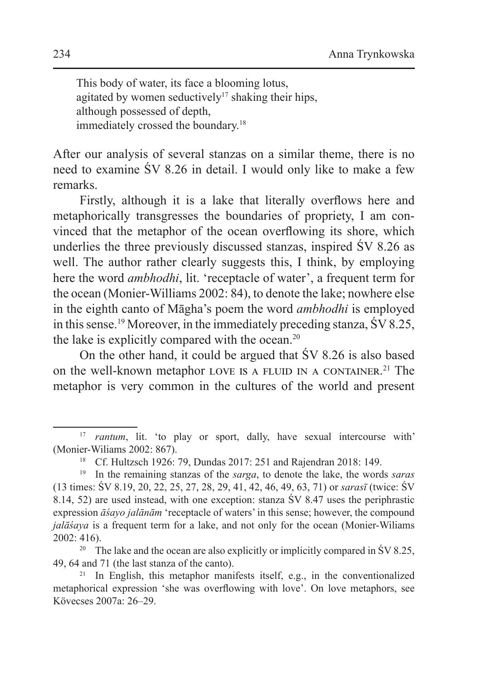This body of water, its face a blooming lotus, agitated by women seductively<sup>17</sup> shaking their hips, although possessed of depth, immediately crossed the boundary.<sup>18</sup>

After our analysis of several stanzas on a similar theme, there is no need to examine ŚV 8.26 in detail. I would only like to make a few remarks.

Firstly, although it is a lake that literally overflows here and metaphorically transgresses the boundaries of propriety, I am convinced that the metaphor of the ocean overflowing its shore, which underlies the three previously discussed stanzas, inspired ŚV 8.26 as well. The author rather clearly suggests this, I think, by employing here the word *ambhodhi*, lit. 'receptacle of water', a frequent term for the ocean (Monier-Williams 2002: 84), to denote the lake; nowhere else in the eighth canto of Māgha's poem the word *ambhodhi* is employed in this sense.19 Moreover, in the immediately preceding stanza, ŚV 8.25, the lake is explicitly compared with the ocean.<sup>20</sup>

On the other hand, it could be argued that ŚV 8.26 is also based on the well-known metaphor LOVE IS A FLUID IN A CONTAINER.<sup>21</sup> The metaphor is very common in the cultures of the world and present

<sup>&</sup>lt;sup>17</sup> *rantum*, lit. 'to play or sport, dally, have sexual intercourse with' (Monier-Wiliams 2002: 867).

<sup>18</sup> Cf. Hultzsch 1926: 79, Dundas 2017: 251 and Rajendran 2018: 149.

<sup>19</sup> In the remaining stanzas of the *sarga*, to denote the lake, the words *saras*  (13 times: ŚV 8.19, 20, 22, 25, 27, 28, 29, 41, 42, 46, 49, 63, 71) or *sarasī* (twice: ŚV 8.14, 52) are used instead, with one exception: stanza ŚV 8.47 uses the periphrastic expression *āśayo jalānām* 'receptacle of waters' in this sense; however, the compound *jalāśaya* is a frequent term for a lake, and not only for the ocean (Monier-Wiliams 2002: 416).

<sup>&</sup>lt;sup>20</sup> The lake and the ocean are also explicitly or implicitly compared in  $\text{SV } 8.25$ , 49, 64 and 71 (the last stanza of the canto).

 $21$  In English, this metaphor manifests itself, e.g., in the conventionalized metaphorical expression 'she was overflowing with love'. On love metaphors, see Kövecses 2007a: 26–29.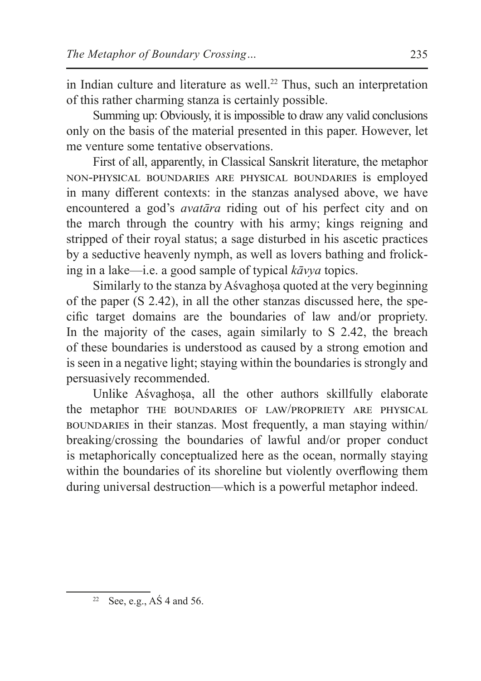in Indian culture and literature as well.<sup>22</sup> Thus, such an interpretation of this rather charming stanza is certainly possible.

Summing up: Obviously, it is impossible to draw any valid conclusions only on the basis of the material presented in this paper. However, let me venture some tentative observations.

First of all, apparently, in Classical Sanskrit literature, the metaphor non-physical boundaries are physical boundaries is employed in many different contexts: in the stanzas analysed above, we have encountered a god's *avatāra* riding out of his perfect city and on the march through the country with his army; kings reigning and stripped of their royal status; a sage disturbed in his ascetic practices by a seductive heavenly nymph, as well as lovers bathing and frolicking in a lake—i.e. a good sample of typical *kāvya* topics.

Similarly to the stanza by Aśvaghoṣa quoted at the very beginning of the paper (S 2.42), in all the other stanzas discussed here, the specific target domains are the boundaries of law and/or propriety. In the majority of the cases, again similarly to S 2.42, the breach of these boundaries is understood as caused by a strong emotion and is seen in a negative light; staying within the boundaries is strongly and persuasively recommended.

Unlike Aśvaghoṣa, all the other authors skillfully elaborate the metaphor the boundaries of law/propriety are physical boundaries in their stanzas. Most frequently, a man staying within/ breaking/crossing the boundaries of lawful and/or proper conduct is metaphorically conceptualized here as the ocean, normally staying within the boundaries of its shoreline but violently overflowing them during universal destruction—which is a powerful metaphor indeed.

<sup>&</sup>lt;sup>22</sup> See, e.g.,  $\angle A\acute{S}$  4 and 56.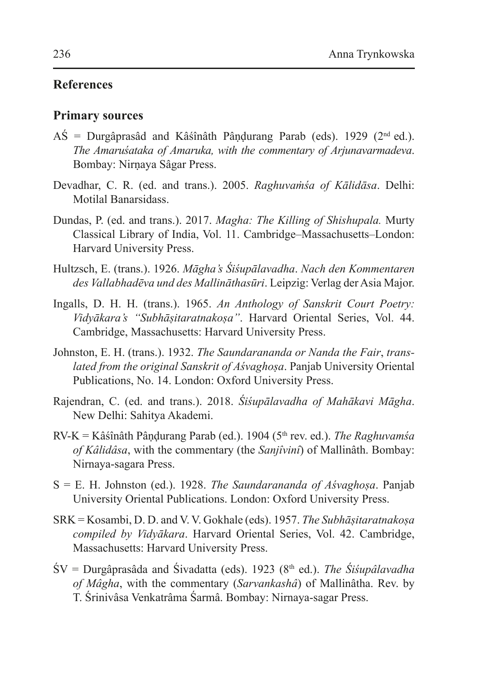## **References**

## **Primary sources**

- $\overrightarrow{AS}$  = Durgâprasâd and Kâśînâth Pâṇḍurang Parab (eds). 1929 (2<sup>nd</sup> ed.). *The Amaruśataka of Amaruka, with the commentary of Arjunavarmadeva*. Bombay: Nirṇaya Sâgar Press.
- Devadhar, C. R. (ed. and trans.). 2005. *Raghuvaṁśa of Kālidāsa*. Delhi: Motilal Banarsidass.
- Dundas, P. (ed. and trans.). 2017. *Magha: The Killing of Shishupala.* Murty Classical Library of India, Vol. 11. Cambridge–Massachusetts–London: Harvard University Press.
- Hultzsch, E. (trans.). 1926. *Māgha's Śiśupālavadha*. *Nach den Kommentaren des Vallabhadēva und des Mallināthasūri*. Leipzig: Verlag der Asia Major.
- Ingalls, D. H. H. (trans.). 1965. *An Anthology of Sanskrit Court Poetry: Vidyākara's "Subhāṣitaratnakoṣa"*. Harvard Oriental Series, Vol. 44. Cambridge, Massachusetts: Harvard University Press.
- Johnston, E. H. (trans.). 1932. *The Saundarananda or Nanda the Fair*, *translated from the original Sanskrit of Aśvaghoṣa*. Panjab University Oriental Publications, No. 14. London: Oxford University Press.
- Rajendran, C. (ed. and trans.). 2018. *Śiśupālavadha of Mahākavi Māgha*. New Delhi: Sahitya Akademi.
- RV-K = Kâśînâth Pâṇḍurang Parab (ed.). 1904 (5th rev. ed.). *The Raghuvamśa of Kâlidâsa*, with the commentary (the *Sanjîvinî*) of Mallinâth. Bombay: Nirnaya-sagara Press.
- S = E. H. Johnston (ed.). 1928. *The Saundarananda of Aśvaghoṣa*. Panjab University Oriental Publications. London: Oxford University Press.
- SRK = Kosambi, D. D. and V. V. Gokhale (eds). 1957. *The Subhāṣitaratnakoṣa compiled by Vidyākara*. Harvard Oriental Series, Vol. 42. Cambridge, Massachusetts: Harvard University Press.
- ŚV = Durgâprasâda and Śivadatta (eds). 1923 (8th ed.). *The Śiśupâlavadha of Mâgha*, with the commentary (*Sarvankashâ*) of Mallinâtha. Rev. by T. Śrinivâsa Venkatrâma Śarmâ. Bombay: Nirnaya-sagar Press.